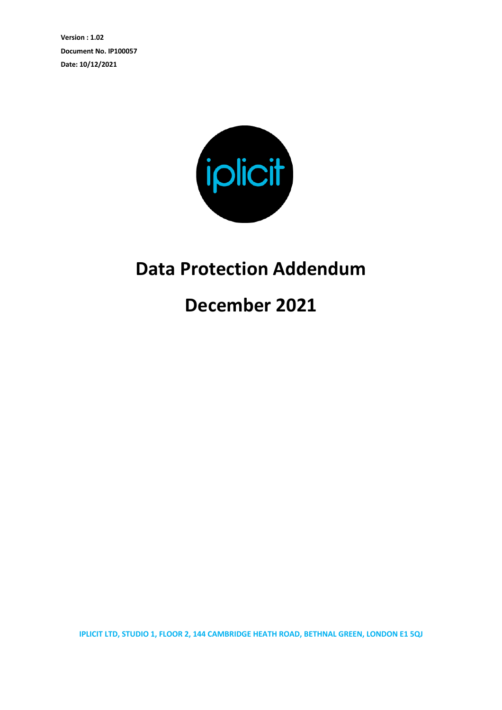**Version : 1.02 Document No. IP100057 Date: 10/12/2021**



## **Data Protection Addendum**

**December 2021**

**IPLICIT LTD, STUDIO 1, FLOOR 2, 144 CAMBRIDGE HEATH ROAD, BETHNAL GREEN, LONDON E1 5QJ**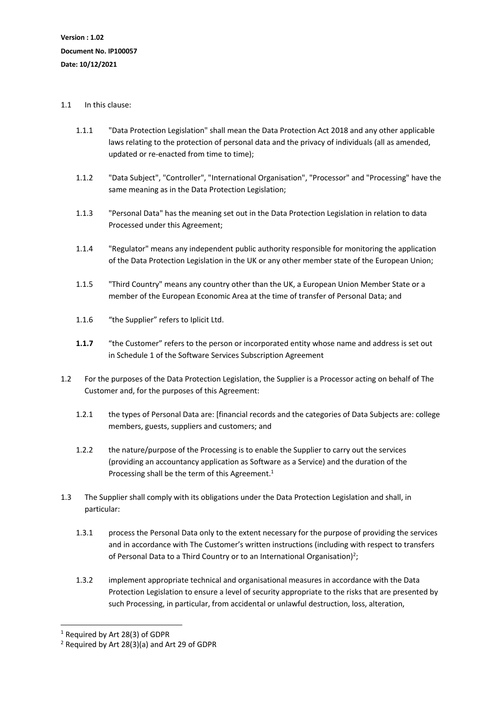## 1.1 In this clause:

- 1.1.1 "Data Protection Legislation" shall mean the Data Protection Act 2018 and any other applicable laws relating to the protection of personal data and the privacy of individuals (all as amended, updated or re-enacted from time to time);
- 1.1.2 "Data Subject", "Controller", "International Organisation", "Processor" and "Processing" have the same meaning as in the Data Protection Legislation;
- 1.1.3 "Personal Data" has the meaning set out in the Data Protection Legislation in relation to data Processed under this Agreement;
- 1.1.4 "Regulator" means any independent public authority responsible for monitoring the application of the Data Protection Legislation in the UK or any other member state of the European Union;
- 1.1.5 "Third Country" means any country other than the UK, a European Union Member State or a member of the European Economic Area at the time of transfer of Personal Data; and
- 1.1.6 "the Supplier" refers to Iplicit Ltd.
- **1.1.7** "the Customer" refers to the person or incorporated entity whose name and address is set out in Schedule 1 of the Software Services Subscription Agreement
- 1.2 For the purposes of the Data Protection Legislation, the Supplier is a Processor acting on behalf of The Customer and, for the purposes of this Agreement:
	- 1.2.1 the types of Personal Data are: [financial records and the categories of Data Subjects are: college members, guests, suppliers and customers; and
	- 1.2.2 the nature/purpose of the Processing is to enable the Supplier to carry out the services (providing an accountancy application as Software as a Service) and the duration of the Processing shall be the term of this Agreement.<sup>1</sup>
- 1.3 The Supplier shall comply with its obligations under the Data Protection Legislation and shall, in particular:
	- 1.3.1 process the Personal Data only to the extent necessary for the purpose of providing the services and in accordance with The Customer's written instructions (including with respect to transfers of Personal Data to a Third Country or to an International Organisation)<sup>2</sup>;
	- 1.3.2 implement appropriate technical and organisational measures in accordance with the Data Protection Legislation to ensure a level of security appropriate to the risks that are presented by such Processing, in particular, from accidental or unlawful destruction, loss, alteration,

<sup>1</sup> Required by Art 28(3) of GDPR

<sup>2</sup> Required by Art 28(3)(a) and Art 29 of GDPR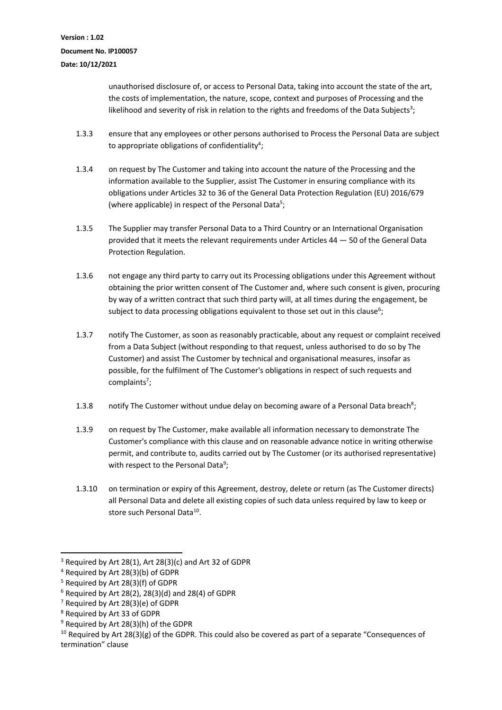unauthorised disclosure of, or access to Personal Data, taking into account the state of the art, the costs of implementation, the nature, scope, context and purposes of Processing and the likelihood and severity of risk in relation to the rights and freedoms of the Data Subjects<sup>3</sup>;

- 1.3.3 ensure that any employees or other persons authorised to Process the Personal Data are subject to appropriate obligations of confidentiality<sup>4</sup>;
- 1.3.4 on request by The Customer and taking into account the nature of the Processing and the information available to the Supplier, assist The Customer in ensuring compliance with its obligations under Articles 32 to 36 of the General Data Protection Regulation (EU) 2016/679 (where applicable) in respect of the Personal Data<sup>5</sup>;
- 1.3.5 The Supplier may transfer Personal Data to a Third Country or an International Organisation provided that it meets the relevant requirements under Articles 44 — 50 of the General Data Protection Regulation.
- 1.3.6 not engage any third party to carry out its Processing obligations under this Agreement without obtaining the prior written consent of The Customer and, where such consent is given, procuring by way of a written contract that such third party will, at all times during the engagement, be subject to data processing obligations equivalent to those set out in this clause<sup>6</sup>;
- 1.3.7 notify The Customer, as soon as reasonably practicable, about any request or complaint received from a Data Subject (without responding to that request, unless authorised to do so by The Customer) and assist The Customer by technical and organisational measures, insofar as possible, for the fulfilment of The Customer's obligations in respect of such requests and complaints<sup>7</sup>;
- 1.3.8 notify The Customer without undue delay on becoming aware of a Personal Data breach<sup>8</sup>;
- 1.3.9 on request by The Customer, make available all information necessary to demonstrate The Customer's compliance with this clause and on reasonable advance notice in writing otherwise permit, and contribute to, audits carried out by The Customer (or its authorised representative) with respect to the Personal Data<sup>9</sup>;
- 1.3.10 on termination or expiry of this Agreement, destroy, delete or return (as The Customer directs) all Personal Data and delete all existing copies of such data unless required by law to keep or store such Personal Data<sup>10</sup>.

 $3$  Required by Art 28(1), Art 28(3)(c) and Art 32 of GDPR

<sup>4</sup> Required by Art 28(3)(b) of GDPR

<sup>5</sup> Required by Art 28(3)(f) of GDPR

 $6$  Required by Art 28(2), 28(3)(d) and 28(4) of GDPR

<sup>7</sup> Required by Art 28(3)(e) of GDPR

<sup>8</sup> Required by Art 33 of GDPR

<sup>9</sup> Required by Art 28(3)(h) of the GDPR

 $10$  Required by Art 28(3)(g) of the GDPR. This could also be covered as part of a separate "Consequences of termination" clause